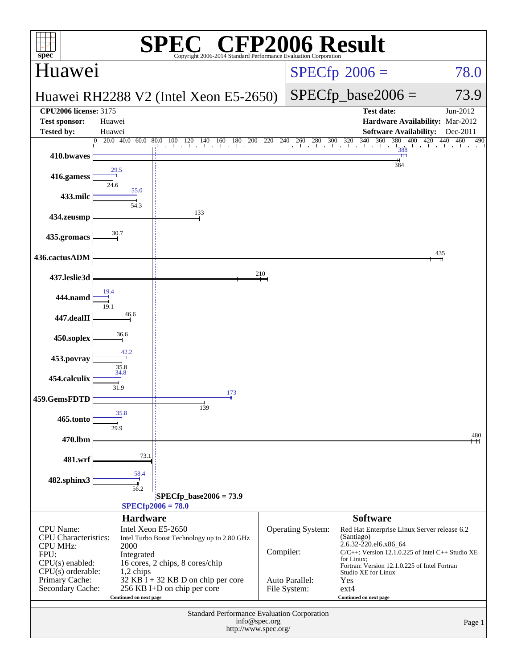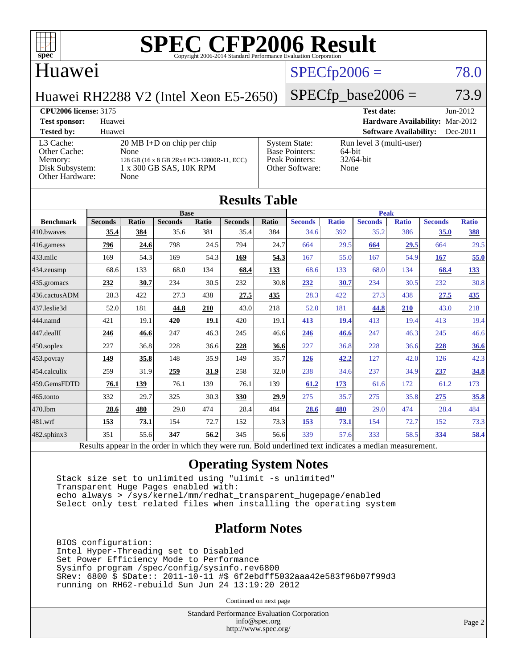

### Huawei

## $SPECfp2006 = 78.0$  $SPECfp2006 = 78.0$

Huawei RH2288 V2 (Intel Xeon E5-2650)

## $SPECfp\_base2006 = 73.9$

**[CPU2006 license:](http://www.spec.org/auto/cpu2006/Docs/result-fields.html#CPU2006license)** 3175 **[Test date:](http://www.spec.org/auto/cpu2006/Docs/result-fields.html#Testdate)** Jun-2012 **[Test sponsor:](http://www.spec.org/auto/cpu2006/Docs/result-fields.html#Testsponsor)** Huawei **[Hardware Availability:](http://www.spec.org/auto/cpu2006/Docs/result-fields.html#HardwareAvailability)** Mar-2012 **[Tested by:](http://www.spec.org/auto/cpu2006/Docs/result-fields.html#Testedby)** Huawei **[Software Availability:](http://www.spec.org/auto/cpu2006/Docs/result-fields.html#SoftwareAvailability)** Dec-2011 [L3 Cache:](http://www.spec.org/auto/cpu2006/Docs/result-fields.html#L3Cache) 20 MB I+D on chip per chip<br>Other Cache: None [Other Cache:](http://www.spec.org/auto/cpu2006/Docs/result-fields.html#OtherCache) [Memory:](http://www.spec.org/auto/cpu2006/Docs/result-fields.html#Memory) 128 GB (16 x 8 GB 2Rx4 PC3-12800R-11, ECC) [Disk Subsystem:](http://www.spec.org/auto/cpu2006/Docs/result-fields.html#DiskSubsystem) 1 x 300 GB SAS, 10K RPM [Other Hardware:](http://www.spec.org/auto/cpu2006/Docs/result-fields.html#OtherHardware) None [System State:](http://www.spec.org/auto/cpu2006/Docs/result-fields.html#SystemState) Run level 3 (multi-user)<br>Base Pointers: 64-bit [Base Pointers:](http://www.spec.org/auto/cpu2006/Docs/result-fields.html#BasePointers) [Peak Pointers:](http://www.spec.org/auto/cpu2006/Docs/result-fields.html#PeakPointers) 32/64-bit [Other Software:](http://www.spec.org/auto/cpu2006/Docs/result-fields.html#OtherSoftware) None

|                        |                                                                                                          |              |                |       | <b>Results Table</b> |       |                |              |                |              |                |              |
|------------------------|----------------------------------------------------------------------------------------------------------|--------------|----------------|-------|----------------------|-------|----------------|--------------|----------------|--------------|----------------|--------------|
|                        | <b>Base</b>                                                                                              |              |                |       |                      |       | <b>Peak</b>    |              |                |              |                |              |
| <b>Benchmark</b>       | <b>Seconds</b>                                                                                           | <b>Ratio</b> | <b>Seconds</b> | Ratio | <b>Seconds</b>       | Ratio | <b>Seconds</b> | <b>Ratio</b> | <b>Seconds</b> | <b>Ratio</b> | <b>Seconds</b> | <b>Ratio</b> |
| 410.bwayes             | 35.4                                                                                                     | 384          | 35.6           | 381   | 35.4                 | 384   | 34.6           | 392          | 35.2           | 386          | 35.0           | 388          |
| $416$ .gamess          | 796                                                                                                      | 24.6         | 798            | 24.5  | 794                  | 24.7  | 664            | 29.5         | 664            | 29.5         | 664            | 29.5         |
| $433$ .milc            | 169                                                                                                      | 54.3         | 169            | 54.3  | 169                  | 54.3  | 167            | 55.0         | 167            | 54.9         | 167            | 55.0         |
| 434.zeusmp             | 68.6                                                                                                     | 133          | 68.0           | 134   | 68.4                 | 133   | 68.6           | 133          | 68.0           | 134          | 68.4           | <u>133</u>   |
| $435$ .gromacs         | 232                                                                                                      | 30.7         | 234            | 30.5  | 232                  | 30.8  | 232            | 30.7         | 234            | 30.5         | 232            | 30.8         |
| 436.cactusADM          | 28.3                                                                                                     | 422          | 27.3           | 438   | 27.5                 | 435   | 28.3           | 422          | 27.3           | 438          | 27.5           | 435          |
| 437.leslie3d           | 52.0                                                                                                     | 181          | 44.8           | 210   | 43.0                 | 218   | 52.0           | 181          | 44.8           | 210          | 43.0           | 218          |
| 444.namd               | 421                                                                                                      | 19.1         | 420            | 19.1  | 420                  | 19.1  | 413            | 19.4         | 413            | 19.4         | 413            | 19.4         |
| $ 447 \text{.}$ dealII | 246                                                                                                      | 46.6         | 247            | 46.3  | 245                  | 46.6  | 246            | 46.6         | 247            | 46.3         | 245            | 46.6         |
| $450$ .soplex          | 227                                                                                                      | 36.8         | 228            | 36.6  | 228                  | 36.6  | 227            | 36.8         | 228            | 36.6         | 228            | 36.6         |
| $453$ .povray          | <u>149</u>                                                                                               | 35.8         | 148            | 35.9  | 149                  | 35.7  | 126            | 42.2         | 127            | 42.0         | 126            | 42.3         |
| $ 454$ .calculix       | 259                                                                                                      | 31.9         | 259            | 31.9  | 258                  | 32.0  | 238            | 34.6         | 237            | 34.9         | 237            | 34.8         |
| 459.GemsFDTD           | 76.1                                                                                                     | 139          | 76.1           | 139   | 76.1                 | 139   | 61.2           | 173          | 61.6           | 172          | 61.2           | 173          |
| $465$ .tonto           | 332                                                                                                      | 29.7         | 325            | 30.3  | 330                  | 29.9  | 275            | 35.7         | 275            | 35.8         | 275            | 35.8         |
| 470.1bm                | 28.6                                                                                                     | 480          | 29.0           | 474   | 28.4                 | 484   | 28.6           | 480          | 29.0           | 474          | 28.4           | 484          |
| $ 481$ .wrf            | 153                                                                                                      | 73.1         | 154            | 72.7  | 152                  | 73.3  | 153            | 73.1         | 154            | 72.7         | 152            | 73.3         |
| 482.sphinx3            | 351                                                                                                      | 55.6         | 347            | 56.2  | 345                  | 56.6  | 339            | 57.6         | 333            | 58.5         | 334            | 58.4         |
|                        | Results appear in the order in which they were run. Bold underlined text indicates a median measurement. |              |                |       |                      |       |                |              |                |              |                |              |

### **[Operating System Notes](http://www.spec.org/auto/cpu2006/Docs/result-fields.html#OperatingSystemNotes)**

 Stack size set to unlimited using "ulimit -s unlimited" Transparent Huge Pages enabled with: echo always > /sys/kernel/mm/redhat\_transparent\_hugepage/enabled Select only test related files when installing the operating system

### **[Platform Notes](http://www.spec.org/auto/cpu2006/Docs/result-fields.html#PlatformNotes)**

 BIOS configuration: Intel Hyper-Threading set to Disabled Set Power Efficiency Mode to Performance Sysinfo program /spec/config/sysinfo.rev6800 \$Rev: 6800 \$ \$Date:: 2011-10-11 #\$ 6f2ebdff5032aaa42e583f96b07f99d3 running on RH62-rebuild Sun Jun 24 13:19:20 2012

Continued on next page

Standard Performance Evaluation Corporation [info@spec.org](mailto:info@spec.org) <http://www.spec.org/>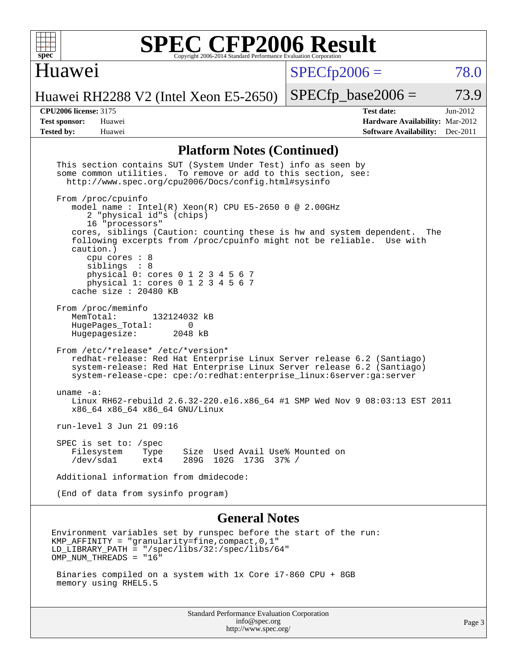

### Huawei

 $SPECfp2006 = 78.0$  $SPECfp2006 = 78.0$ 

Huawei RH2288 V2 (Intel Xeon E5-2650)

 $SPECTp\_base2006 = 73.9$ 

**[CPU2006 license:](http://www.spec.org/auto/cpu2006/Docs/result-fields.html#CPU2006license)** 3175 **[Test date:](http://www.spec.org/auto/cpu2006/Docs/result-fields.html#Testdate)** Jun-2012 **[Test sponsor:](http://www.spec.org/auto/cpu2006/Docs/result-fields.html#Testsponsor)** Huawei **[Hardware Availability:](http://www.spec.org/auto/cpu2006/Docs/result-fields.html#HardwareAvailability)** Mar-2012 **[Tested by:](http://www.spec.org/auto/cpu2006/Docs/result-fields.html#Testedby)** Huawei **[Software Availability:](http://www.spec.org/auto/cpu2006/Docs/result-fields.html#SoftwareAvailability)** Dec-2011

### **[Platform Notes \(Continued\)](http://www.spec.org/auto/cpu2006/Docs/result-fields.html#PlatformNotes)**

| This section contains SUT (System Under Test) info as seen by<br>some common utilities. To remove or add to this section, see:<br>http://www.spec.org/cpu2006/Docs/config.html#sysinfo                                                                                                                                                                                                                                                  |        |
|-----------------------------------------------------------------------------------------------------------------------------------------------------------------------------------------------------------------------------------------------------------------------------------------------------------------------------------------------------------------------------------------------------------------------------------------|--------|
| From /proc/cpuinfo<br>model name : Intel(R) Xeon(R) CPU E5-2650 0 @ 2.00GHz<br>2 "physical id"s (chips)<br>16 "processors"<br>cores, siblings (Caution: counting these is hw and system dependent.<br>The<br>following excerpts from /proc/cpuinfo might not be reliable. Use with<br>caution.)<br>$cpu$ cores : $8$<br>siblings : 8<br>physical 0: cores 0 1 2 3 4 5 6 7<br>physical 1: cores 0 1 2 3 4 5 6 7<br>cache size : 20480 KB |        |
| From /proc/meminfo<br>MemTotal:<br>132124032 kB<br>HugePages_Total:<br>$\Omega$<br>Hugepagesize:<br>2048 kB                                                                                                                                                                                                                                                                                                                             |        |
| From /etc/*release* /etc/*version*<br>redhat-release: Red Hat Enterprise Linux Server release 6.2 (Santiago)<br>system-release: Red Hat Enterprise Linux Server release 6.2 (Santiago)<br>system-release-cpe: cpe:/o:redhat:enterprise_linux:6server:ga:server                                                                                                                                                                          |        |
| uname $-a$ :<br>Linux RH62-rebuild 2.6.32-220.el6.x86_64 #1 SMP Wed Nov 9 08:03:13 EST 2011<br>x86_64 x86_64 x86_64 GNU/Linux                                                                                                                                                                                                                                                                                                           |        |
| run-level 3 Jun 21 09:16                                                                                                                                                                                                                                                                                                                                                                                                                |        |
| SPEC is set to: /spec<br>Filesystem<br>Size Used Avail Use% Mounted on<br>Type<br>/dev/sda1<br>$ext{4}$<br>289G 102G 173G 37% /                                                                                                                                                                                                                                                                                                         |        |
| Additional information from dmidecode:                                                                                                                                                                                                                                                                                                                                                                                                  |        |
| (End of data from sysinfo program)                                                                                                                                                                                                                                                                                                                                                                                                      |        |
| <b>General Notes</b>                                                                                                                                                                                                                                                                                                                                                                                                                    |        |
| Environment variables set by runspec before the start of the run:<br>KMP AFFINITY = "qranularity=fine,compact,0,1"<br>$LD_LIBRARY_PATH = "/spec/libs/32://spec/libs/64"$<br>OMP_NUM_THREADS = "16"                                                                                                                                                                                                                                      |        |
| Binaries compiled on a system with 1x Core i7-860 CPU + 8GB<br>memory using RHEL5.5                                                                                                                                                                                                                                                                                                                                                     |        |
| <b>Standard Performance Evaluation Corporation</b><br>info@spec.org<br>http://www.spec.org/                                                                                                                                                                                                                                                                                                                                             | Page 3 |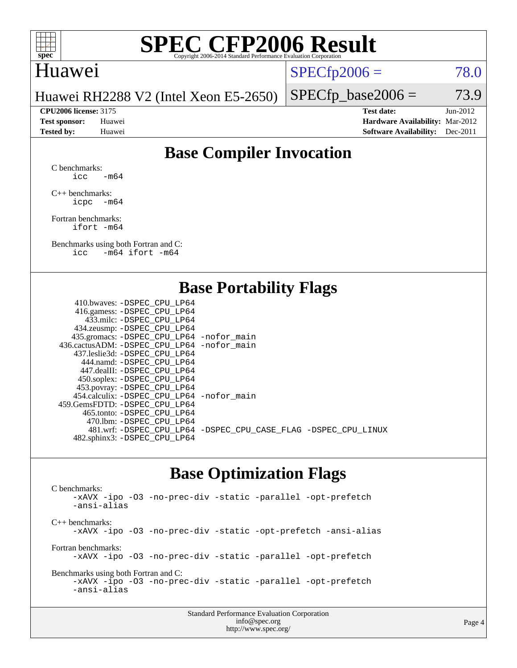

### Huawei

 $SPECTp2006 = 78.0$ 

Huawei RH2288 V2 (Intel Xeon E5-2650)

**[CPU2006 license:](http://www.spec.org/auto/cpu2006/Docs/result-fields.html#CPU2006license)** 3175 **[Test date:](http://www.spec.org/auto/cpu2006/Docs/result-fields.html#Testdate)** Jun-2012 **[Test sponsor:](http://www.spec.org/auto/cpu2006/Docs/result-fields.html#Testsponsor)** Huawei **[Hardware Availability:](http://www.spec.org/auto/cpu2006/Docs/result-fields.html#HardwareAvailability)** Mar-2012 **[Tested by:](http://www.spec.org/auto/cpu2006/Docs/result-fields.html#Testedby)** Huawei **[Software Availability:](http://www.spec.org/auto/cpu2006/Docs/result-fields.html#SoftwareAvailability)** Dec-2011

 $SPECTp\_base2006 = 73.9$ 

### **[Base Compiler Invocation](http://www.spec.org/auto/cpu2006/Docs/result-fields.html#BaseCompilerInvocation)**

[C benchmarks](http://www.spec.org/auto/cpu2006/Docs/result-fields.html#Cbenchmarks):  $\text{icc}$  -m64

[C++ benchmarks:](http://www.spec.org/auto/cpu2006/Docs/result-fields.html#CXXbenchmarks) [icpc -m64](http://www.spec.org/cpu2006/results/res2012q3/cpu2006-20120628-23255.flags.html#user_CXXbase_intel_icpc_64bit_bedb90c1146cab66620883ef4f41a67e)

[Fortran benchmarks](http://www.spec.org/auto/cpu2006/Docs/result-fields.html#Fortranbenchmarks): [ifort -m64](http://www.spec.org/cpu2006/results/res2012q3/cpu2006-20120628-23255.flags.html#user_FCbase_intel_ifort_64bit_ee9d0fb25645d0210d97eb0527dcc06e)

[Benchmarks using both Fortran and C](http://www.spec.org/auto/cpu2006/Docs/result-fields.html#BenchmarksusingbothFortranandC): [icc -m64](http://www.spec.org/cpu2006/results/res2012q3/cpu2006-20120628-23255.flags.html#user_CC_FCbase_intel_icc_64bit_0b7121f5ab7cfabee23d88897260401c) [ifort -m64](http://www.spec.org/cpu2006/results/res2012q3/cpu2006-20120628-23255.flags.html#user_CC_FCbase_intel_ifort_64bit_ee9d0fb25645d0210d97eb0527dcc06e)

### **[Base Portability Flags](http://www.spec.org/auto/cpu2006/Docs/result-fields.html#BasePortabilityFlags)**

| 410.bwaves: -DSPEC CPU LP64                 |                                                                |
|---------------------------------------------|----------------------------------------------------------------|
| 416.gamess: - DSPEC_CPU_LP64                |                                                                |
| 433.milc: -DSPEC CPU LP64                   |                                                                |
| 434.zeusmp: -DSPEC_CPU_LP64                 |                                                                |
| 435.gromacs: -DSPEC_CPU_LP64 -nofor_main    |                                                                |
| 436.cactusADM: -DSPEC CPU LP64 -nofor main  |                                                                |
| 437.leslie3d: -DSPEC CPU LP64               |                                                                |
| 444.namd: -DSPEC CPU LP64                   |                                                                |
| 447.dealII: -DSPEC CPU LP64                 |                                                                |
| 450.soplex: -DSPEC_CPU_LP64                 |                                                                |
| 453.povray: -DSPEC_CPU_LP64                 |                                                                |
| 454.calculix: - DSPEC CPU LP64 - nofor main |                                                                |
| 459.GemsFDTD: -DSPEC CPU LP64               |                                                                |
| 465.tonto: - DSPEC CPU LP64                 |                                                                |
| 470.1bm: - DSPEC CPU LP64                   |                                                                |
|                                             | 481.wrf: -DSPEC_CPU_LP64 -DSPEC_CPU_CASE_FLAG -DSPEC_CPU_LINUX |
| 482.sphinx3: -DSPEC_CPU_LP64                |                                                                |
|                                             |                                                                |

### **[Base Optimization Flags](http://www.spec.org/auto/cpu2006/Docs/result-fields.html#BaseOptimizationFlags)**

[C benchmarks](http://www.spec.org/auto/cpu2006/Docs/result-fields.html#Cbenchmarks): [-xAVX](http://www.spec.org/cpu2006/results/res2012q3/cpu2006-20120628-23255.flags.html#user_CCbase_f-xAVX) [-ipo](http://www.spec.org/cpu2006/results/res2012q3/cpu2006-20120628-23255.flags.html#user_CCbase_f-ipo) [-O3](http://www.spec.org/cpu2006/results/res2012q3/cpu2006-20120628-23255.flags.html#user_CCbase_f-O3) [-no-prec-div](http://www.spec.org/cpu2006/results/res2012q3/cpu2006-20120628-23255.flags.html#user_CCbase_f-no-prec-div) [-static](http://www.spec.org/cpu2006/results/res2012q3/cpu2006-20120628-23255.flags.html#user_CCbase_f-static) [-parallel](http://www.spec.org/cpu2006/results/res2012q3/cpu2006-20120628-23255.flags.html#user_CCbase_f-parallel) [-opt-prefetch](http://www.spec.org/cpu2006/results/res2012q3/cpu2006-20120628-23255.flags.html#user_CCbase_f-opt-prefetch) [-ansi-alias](http://www.spec.org/cpu2006/results/res2012q3/cpu2006-20120628-23255.flags.html#user_CCbase_f-ansi-alias) [C++ benchmarks:](http://www.spec.org/auto/cpu2006/Docs/result-fields.html#CXXbenchmarks) [-xAVX](http://www.spec.org/cpu2006/results/res2012q3/cpu2006-20120628-23255.flags.html#user_CXXbase_f-xAVX) [-ipo](http://www.spec.org/cpu2006/results/res2012q3/cpu2006-20120628-23255.flags.html#user_CXXbase_f-ipo) [-O3](http://www.spec.org/cpu2006/results/res2012q3/cpu2006-20120628-23255.flags.html#user_CXXbase_f-O3) [-no-prec-div](http://www.spec.org/cpu2006/results/res2012q3/cpu2006-20120628-23255.flags.html#user_CXXbase_f-no-prec-div) [-static](http://www.spec.org/cpu2006/results/res2012q3/cpu2006-20120628-23255.flags.html#user_CXXbase_f-static) [-opt-prefetch](http://www.spec.org/cpu2006/results/res2012q3/cpu2006-20120628-23255.flags.html#user_CXXbase_f-opt-prefetch) [-ansi-alias](http://www.spec.org/cpu2006/results/res2012q3/cpu2006-20120628-23255.flags.html#user_CXXbase_f-ansi-alias) [Fortran benchmarks](http://www.spec.org/auto/cpu2006/Docs/result-fields.html#Fortranbenchmarks): [-xAVX](http://www.spec.org/cpu2006/results/res2012q3/cpu2006-20120628-23255.flags.html#user_FCbase_f-xAVX) [-ipo](http://www.spec.org/cpu2006/results/res2012q3/cpu2006-20120628-23255.flags.html#user_FCbase_f-ipo) [-O3](http://www.spec.org/cpu2006/results/res2012q3/cpu2006-20120628-23255.flags.html#user_FCbase_f-O3) [-no-prec-div](http://www.spec.org/cpu2006/results/res2012q3/cpu2006-20120628-23255.flags.html#user_FCbase_f-no-prec-div) [-static](http://www.spec.org/cpu2006/results/res2012q3/cpu2006-20120628-23255.flags.html#user_FCbase_f-static) [-parallel](http://www.spec.org/cpu2006/results/res2012q3/cpu2006-20120628-23255.flags.html#user_FCbase_f-parallel) [-opt-prefetch](http://www.spec.org/cpu2006/results/res2012q3/cpu2006-20120628-23255.flags.html#user_FCbase_f-opt-prefetch) [Benchmarks using both Fortran and C](http://www.spec.org/auto/cpu2006/Docs/result-fields.html#BenchmarksusingbothFortranandC): [-xAVX](http://www.spec.org/cpu2006/results/res2012q3/cpu2006-20120628-23255.flags.html#user_CC_FCbase_f-xAVX) [-ipo](http://www.spec.org/cpu2006/results/res2012q3/cpu2006-20120628-23255.flags.html#user_CC_FCbase_f-ipo) [-O3](http://www.spec.org/cpu2006/results/res2012q3/cpu2006-20120628-23255.flags.html#user_CC_FCbase_f-O3) [-no-prec-div](http://www.spec.org/cpu2006/results/res2012q3/cpu2006-20120628-23255.flags.html#user_CC_FCbase_f-no-prec-div) [-static](http://www.spec.org/cpu2006/results/res2012q3/cpu2006-20120628-23255.flags.html#user_CC_FCbase_f-static) [-parallel](http://www.spec.org/cpu2006/results/res2012q3/cpu2006-20120628-23255.flags.html#user_CC_FCbase_f-parallel) [-opt-prefetch](http://www.spec.org/cpu2006/results/res2012q3/cpu2006-20120628-23255.flags.html#user_CC_FCbase_f-opt-prefetch) [-ansi-alias](http://www.spec.org/cpu2006/results/res2012q3/cpu2006-20120628-23255.flags.html#user_CC_FCbase_f-ansi-alias)

| <b>Standard Performance Evaluation Corporation</b> |  |
|----------------------------------------------------|--|
| info@spec.org                                      |  |
| http://www.spec.org/                               |  |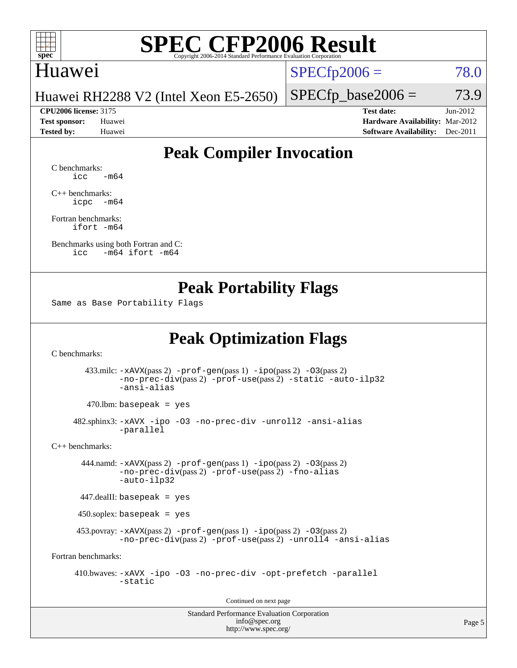

### Huawei

 $SPECfp2006 = 78.0$  $SPECfp2006 = 78.0$ 

Huawei RH2288 V2 (Intel Xeon E5-2650)

**[CPU2006 license:](http://www.spec.org/auto/cpu2006/Docs/result-fields.html#CPU2006license)** 3175 **[Test date:](http://www.spec.org/auto/cpu2006/Docs/result-fields.html#Testdate)** Jun-2012 **[Test sponsor:](http://www.spec.org/auto/cpu2006/Docs/result-fields.html#Testsponsor)** Huawei **[Hardware Availability:](http://www.spec.org/auto/cpu2006/Docs/result-fields.html#HardwareAvailability)** Mar-2012 **[Tested by:](http://www.spec.org/auto/cpu2006/Docs/result-fields.html#Testedby)** Huawei **[Software Availability:](http://www.spec.org/auto/cpu2006/Docs/result-fields.html#SoftwareAvailability)** Dec-2011

 $SPECTp\_base2006 = 73.9$ 

### **[Peak Compiler Invocation](http://www.spec.org/auto/cpu2006/Docs/result-fields.html#PeakCompilerInvocation)**

[C benchmarks](http://www.spec.org/auto/cpu2006/Docs/result-fields.html#Cbenchmarks):  $\text{icc}$   $-\text{m64}$ 

[C++ benchmarks:](http://www.spec.org/auto/cpu2006/Docs/result-fields.html#CXXbenchmarks) [icpc -m64](http://www.spec.org/cpu2006/results/res2012q3/cpu2006-20120628-23255.flags.html#user_CXXpeak_intel_icpc_64bit_bedb90c1146cab66620883ef4f41a67e)

[Fortran benchmarks](http://www.spec.org/auto/cpu2006/Docs/result-fields.html#Fortranbenchmarks): [ifort -m64](http://www.spec.org/cpu2006/results/res2012q3/cpu2006-20120628-23255.flags.html#user_FCpeak_intel_ifort_64bit_ee9d0fb25645d0210d97eb0527dcc06e)

[Benchmarks using both Fortran and C](http://www.spec.org/auto/cpu2006/Docs/result-fields.html#BenchmarksusingbothFortranandC): [icc -m64](http://www.spec.org/cpu2006/results/res2012q3/cpu2006-20120628-23255.flags.html#user_CC_FCpeak_intel_icc_64bit_0b7121f5ab7cfabee23d88897260401c) [ifort -m64](http://www.spec.org/cpu2006/results/res2012q3/cpu2006-20120628-23255.flags.html#user_CC_FCpeak_intel_ifort_64bit_ee9d0fb25645d0210d97eb0527dcc06e)

### **[Peak Portability Flags](http://www.spec.org/auto/cpu2006/Docs/result-fields.html#PeakPortabilityFlags)**

Same as Base Portability Flags

### **[Peak Optimization Flags](http://www.spec.org/auto/cpu2006/Docs/result-fields.html#PeakOptimizationFlags)**

[C benchmarks](http://www.spec.org/auto/cpu2006/Docs/result-fields.html#Cbenchmarks):

 433.milc: [-xAVX](http://www.spec.org/cpu2006/results/res2012q3/cpu2006-20120628-23255.flags.html#user_peakPASS2_CFLAGSPASS2_LDFLAGS433_milc_f-xAVX)(pass 2) [-prof-gen](http://www.spec.org/cpu2006/results/res2012q3/cpu2006-20120628-23255.flags.html#user_peakPASS1_CFLAGSPASS1_LDFLAGS433_milc_prof_gen_e43856698f6ca7b7e442dfd80e94a8fc)(pass 1) [-ipo](http://www.spec.org/cpu2006/results/res2012q3/cpu2006-20120628-23255.flags.html#user_peakPASS2_CFLAGSPASS2_LDFLAGS433_milc_f-ipo)(pass 2) [-O3](http://www.spec.org/cpu2006/results/res2012q3/cpu2006-20120628-23255.flags.html#user_peakPASS2_CFLAGSPASS2_LDFLAGS433_milc_f-O3)(pass 2) [-no-prec-div](http://www.spec.org/cpu2006/results/res2012q3/cpu2006-20120628-23255.flags.html#user_peakPASS2_CFLAGSPASS2_LDFLAGS433_milc_f-no-prec-div)(pass 2) [-prof-use](http://www.spec.org/cpu2006/results/res2012q3/cpu2006-20120628-23255.flags.html#user_peakPASS2_CFLAGSPASS2_LDFLAGS433_milc_prof_use_bccf7792157ff70d64e32fe3e1250b55)(pass 2) [-static](http://www.spec.org/cpu2006/results/res2012q3/cpu2006-20120628-23255.flags.html#user_peakOPTIMIZE433_milc_f-static) [-auto-ilp32](http://www.spec.org/cpu2006/results/res2012q3/cpu2006-20120628-23255.flags.html#user_peakCOPTIMIZE433_milc_f-auto-ilp32) [-ansi-alias](http://www.spec.org/cpu2006/results/res2012q3/cpu2006-20120628-23255.flags.html#user_peakCOPTIMIZE433_milc_f-ansi-alias)

 $470.$ lbm: basepeak = yes

 482.sphinx3: [-xAVX](http://www.spec.org/cpu2006/results/res2012q3/cpu2006-20120628-23255.flags.html#user_peakOPTIMIZE482_sphinx3_f-xAVX) [-ipo](http://www.spec.org/cpu2006/results/res2012q3/cpu2006-20120628-23255.flags.html#user_peakOPTIMIZE482_sphinx3_f-ipo) [-O3](http://www.spec.org/cpu2006/results/res2012q3/cpu2006-20120628-23255.flags.html#user_peakOPTIMIZE482_sphinx3_f-O3) [-no-prec-div](http://www.spec.org/cpu2006/results/res2012q3/cpu2006-20120628-23255.flags.html#user_peakOPTIMIZE482_sphinx3_f-no-prec-div) [-unroll2](http://www.spec.org/cpu2006/results/res2012q3/cpu2006-20120628-23255.flags.html#user_peakCOPTIMIZE482_sphinx3_f-unroll_784dae83bebfb236979b41d2422d7ec2) [-ansi-alias](http://www.spec.org/cpu2006/results/res2012q3/cpu2006-20120628-23255.flags.html#user_peakCOPTIMIZE482_sphinx3_f-ansi-alias) [-parallel](http://www.spec.org/cpu2006/results/res2012q3/cpu2006-20120628-23255.flags.html#user_peakCOPTIMIZE482_sphinx3_f-parallel)

[C++ benchmarks:](http://www.spec.org/auto/cpu2006/Docs/result-fields.html#CXXbenchmarks)

 444.namd: [-xAVX](http://www.spec.org/cpu2006/results/res2012q3/cpu2006-20120628-23255.flags.html#user_peakPASS2_CXXFLAGSPASS2_LDFLAGS444_namd_f-xAVX)(pass 2) [-prof-gen](http://www.spec.org/cpu2006/results/res2012q3/cpu2006-20120628-23255.flags.html#user_peakPASS1_CXXFLAGSPASS1_LDFLAGS444_namd_prof_gen_e43856698f6ca7b7e442dfd80e94a8fc)(pass 1) [-ipo](http://www.spec.org/cpu2006/results/res2012q3/cpu2006-20120628-23255.flags.html#user_peakPASS2_CXXFLAGSPASS2_LDFLAGS444_namd_f-ipo)(pass 2) [-O3](http://www.spec.org/cpu2006/results/res2012q3/cpu2006-20120628-23255.flags.html#user_peakPASS2_CXXFLAGSPASS2_LDFLAGS444_namd_f-O3)(pass 2) [-no-prec-div](http://www.spec.org/cpu2006/results/res2012q3/cpu2006-20120628-23255.flags.html#user_peakPASS2_CXXFLAGSPASS2_LDFLAGS444_namd_f-no-prec-div)(pass 2) [-prof-use](http://www.spec.org/cpu2006/results/res2012q3/cpu2006-20120628-23255.flags.html#user_peakPASS2_CXXFLAGSPASS2_LDFLAGS444_namd_prof_use_bccf7792157ff70d64e32fe3e1250b55)(pass 2) [-fno-alias](http://www.spec.org/cpu2006/results/res2012q3/cpu2006-20120628-23255.flags.html#user_peakCXXOPTIMIZEOPTIMIZE444_namd_f-no-alias_694e77f6c5a51e658e82ccff53a9e63a) [-auto-ilp32](http://www.spec.org/cpu2006/results/res2012q3/cpu2006-20120628-23255.flags.html#user_peakCXXOPTIMIZE444_namd_f-auto-ilp32)

447.dealII: basepeak = yes

450.soplex: basepeak = yes

 453.povray: [-xAVX](http://www.spec.org/cpu2006/results/res2012q3/cpu2006-20120628-23255.flags.html#user_peakPASS2_CXXFLAGSPASS2_LDFLAGS453_povray_f-xAVX)(pass 2) [-prof-gen](http://www.spec.org/cpu2006/results/res2012q3/cpu2006-20120628-23255.flags.html#user_peakPASS1_CXXFLAGSPASS1_LDFLAGS453_povray_prof_gen_e43856698f6ca7b7e442dfd80e94a8fc)(pass 1) [-ipo](http://www.spec.org/cpu2006/results/res2012q3/cpu2006-20120628-23255.flags.html#user_peakPASS2_CXXFLAGSPASS2_LDFLAGS453_povray_f-ipo)(pass 2) [-O3](http://www.spec.org/cpu2006/results/res2012q3/cpu2006-20120628-23255.flags.html#user_peakPASS2_CXXFLAGSPASS2_LDFLAGS453_povray_f-O3)(pass 2) [-no-prec-div](http://www.spec.org/cpu2006/results/res2012q3/cpu2006-20120628-23255.flags.html#user_peakPASS2_CXXFLAGSPASS2_LDFLAGS453_povray_f-no-prec-div)(pass 2) [-prof-use](http://www.spec.org/cpu2006/results/res2012q3/cpu2006-20120628-23255.flags.html#user_peakPASS2_CXXFLAGSPASS2_LDFLAGS453_povray_prof_use_bccf7792157ff70d64e32fe3e1250b55)(pass 2) [-unroll4](http://www.spec.org/cpu2006/results/res2012q3/cpu2006-20120628-23255.flags.html#user_peakCXXOPTIMIZE453_povray_f-unroll_4e5e4ed65b7fd20bdcd365bec371b81f) [-ansi-alias](http://www.spec.org/cpu2006/results/res2012q3/cpu2006-20120628-23255.flags.html#user_peakCXXOPTIMIZE453_povray_f-ansi-alias)

[Fortran benchmarks](http://www.spec.org/auto/cpu2006/Docs/result-fields.html#Fortranbenchmarks):

 410.bwaves: [-xAVX](http://www.spec.org/cpu2006/results/res2012q3/cpu2006-20120628-23255.flags.html#user_peakOPTIMIZE410_bwaves_f-xAVX) [-ipo](http://www.spec.org/cpu2006/results/res2012q3/cpu2006-20120628-23255.flags.html#user_peakOPTIMIZE410_bwaves_f-ipo) [-O3](http://www.spec.org/cpu2006/results/res2012q3/cpu2006-20120628-23255.flags.html#user_peakOPTIMIZE410_bwaves_f-O3) [-no-prec-div](http://www.spec.org/cpu2006/results/res2012q3/cpu2006-20120628-23255.flags.html#user_peakOPTIMIZE410_bwaves_f-no-prec-div) [-opt-prefetch](http://www.spec.org/cpu2006/results/res2012q3/cpu2006-20120628-23255.flags.html#user_peakOPTIMIZE410_bwaves_f-opt-prefetch) [-parallel](http://www.spec.org/cpu2006/results/res2012q3/cpu2006-20120628-23255.flags.html#user_peakOPTIMIZE410_bwaves_f-parallel) [-static](http://www.spec.org/cpu2006/results/res2012q3/cpu2006-20120628-23255.flags.html#user_peakOPTIMIZE410_bwaves_f-static)

Continued on next page

Standard Performance Evaluation Corporation [info@spec.org](mailto:info@spec.org) <http://www.spec.org/>

Page 5